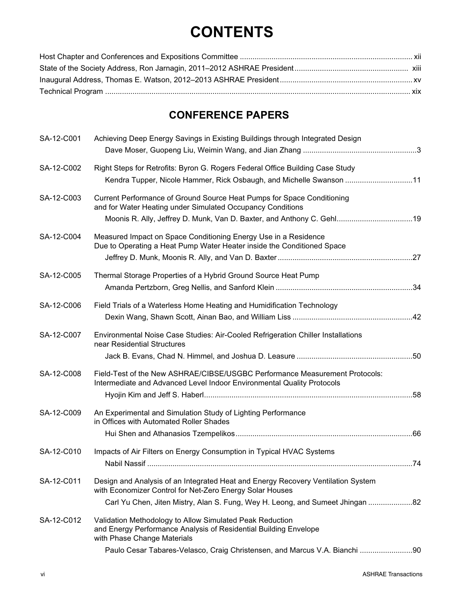## **CONTENTS**

## **CONFERENCE PAPERS**

| SA-12-C001 | Achieving Deep Energy Savings in Existing Buildings through Integrated Design                                                                                                                                                 |  |
|------------|-------------------------------------------------------------------------------------------------------------------------------------------------------------------------------------------------------------------------------|--|
| SA-12-C002 | Right Steps for Retrofits: Byron G. Rogers Federal Office Building Case Study<br>Kendra Tupper, Nicole Hammer, Rick Osbaugh, and Michelle Swanson 11                                                                          |  |
| SA-12-C003 | Current Performance of Ground Source Heat Pumps for Space Conditioning<br>and for Water Heating under Simulated Occupancy Conditions<br>Moonis R. Ally, Jeffrey D. Munk, Van D. Baxter, and Anthony C. Gehl19                 |  |
| SA-12-C004 | Measured Impact on Space Conditioning Energy Use in a Residence<br>Due to Operating a Heat Pump Water Heater inside the Conditioned Space                                                                                     |  |
| SA-12-C005 | Thermal Storage Properties of a Hybrid Ground Source Heat Pump                                                                                                                                                                |  |
| SA-12-C006 | Field Trials of a Waterless Home Heating and Humidification Technology                                                                                                                                                        |  |
| SA-12-C007 | Environmental Noise Case Studies: Air-Cooled Refrigeration Chiller Installations<br>near Residential Structures                                                                                                               |  |
| SA-12-C008 | Field-Test of the New ASHRAE/CIBSE/USGBC Performance Measurement Protocols:<br>Intermediate and Advanced Level Indoor Environmental Quality Protocols                                                                         |  |
| SA-12-C009 | An Experimental and Simulation Study of Lighting Performance<br>in Offices with Automated Roller Shades                                                                                                                       |  |
| SA-12-C010 | Impacts of Air Filters on Energy Consumption in Typical HVAC Systems                                                                                                                                                          |  |
| SA-12-C011 | Design and Analysis of an Integrated Heat and Energy Recovery Ventilation System<br>with Economizer Control for Net-Zero Energy Solar Houses<br>Carl Yu Chen, Jiten Mistry, Alan S. Fung, Wey H. Leong, and Sumeet Jhingan 82 |  |
| SA-12-C012 | Validation Methodology to Allow Simulated Peak Reduction<br>and Energy Performance Analysis of Residential Building Envelope<br>with Phase Change Materials                                                                   |  |
|            | Paulo Cesar Tabares-Velasco, Craig Christensen, and Marcus V.A. Bianchi 90                                                                                                                                                    |  |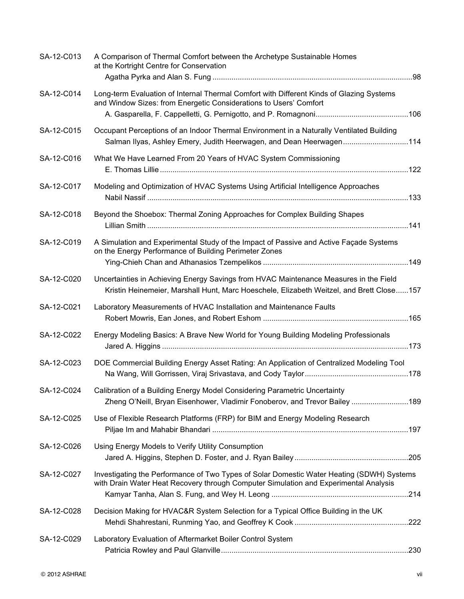| SA-12-C013 | A Comparison of Thermal Comfort between the Archetype Sustainable Homes<br>at the Kortright Centre for Conservation                                                               |
|------------|-----------------------------------------------------------------------------------------------------------------------------------------------------------------------------------|
| SA-12-C014 | Long-term Evaluation of Internal Thermal Comfort with Different Kinds of Glazing Systems<br>and Window Sizes: from Energetic Considerations to Users' Comfort                     |
| SA-12-C015 | Occupant Perceptions of an Indoor Thermal Environment in a Naturally Ventilated Building<br>Salman Ilyas, Ashley Emery, Judith Heerwagen, and Dean Heerwagen114                   |
| SA-12-C016 | What We Have Learned From 20 Years of HVAC System Commissioning                                                                                                                   |
| SA-12-C017 | Modeling and Optimization of HVAC Systems Using Artificial Intelligence Approaches                                                                                                |
| SA-12-C018 | Beyond the Shoebox: Thermal Zoning Approaches for Complex Building Shapes                                                                                                         |
| SA-12-C019 | A Simulation and Experimental Study of the Impact of Passive and Active Façade Systems<br>on the Energy Performance of Building Perimeter Zones                                   |
| SA-12-C020 | Uncertainties in Achieving Energy Savings from HVAC Maintenance Measures in the Field<br>Kristin Heinemeier, Marshall Hunt, Marc Hoeschele, Elizabeth Weitzel, and Brett Close157 |
| SA-12-C021 | Laboratory Measurements of HVAC Installation and Maintenance Faults                                                                                                               |
| SA-12-C022 | Energy Modeling Basics: A Brave New World for Young Building Modeling Professionals                                                                                               |
| SA-12-C023 | DOE Commercial Building Energy Asset Rating: An Application of Centralized Modeling Tool                                                                                          |
| SA-12-C024 | Calibration of a Building Energy Model Considering Parametric Uncertainty<br>Zheng O'Neill, Bryan Eisenhower, Vladimir Fonoberov, and Trevor Bailey189                            |
| SA-12-C025 | Use of Flexible Research Platforms (FRP) for BIM and Energy Modeling Research                                                                                                     |
| SA-12-C026 | Using Energy Models to Verify Utility Consumption                                                                                                                                 |
| SA-12-C027 | Investigating the Performance of Two Types of Solar Domestic Water Heating (SDWH) Systems<br>with Drain Water Heat Recovery through Computer Simulation and Experimental Analysis |
| SA-12-C028 | Decision Making for HVAC&R System Selection for a Typical Office Building in the UK                                                                                               |
| SA-12-C029 | Laboratory Evaluation of Aftermarket Boiler Control System                                                                                                                        |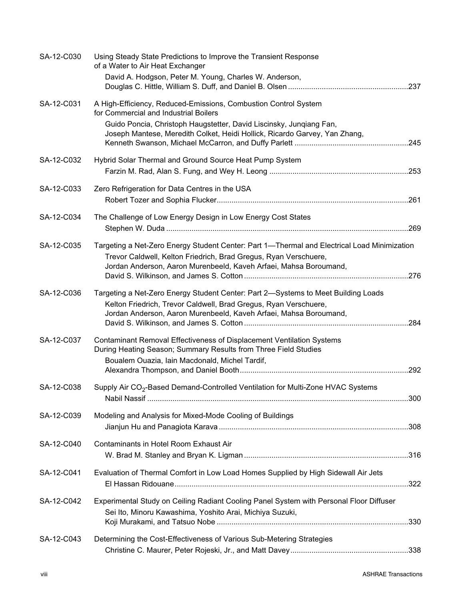| SA-12-C030 | Using Steady State Predictions to Improve the Transient Response<br>of a Water to Air Heat Exchanger<br>David A. Hodgson, Peter M. Young, Charles W. Anderson,                                                                                                |  |
|------------|---------------------------------------------------------------------------------------------------------------------------------------------------------------------------------------------------------------------------------------------------------------|--|
| SA-12-C031 | A High-Efficiency, Reduced-Emissions, Combustion Control System<br>for Commercial and Industrial Boilers<br>Guido Poncia, Christoph Haugstetter, David Liscinsky, Junqiang Fan,<br>Joseph Mantese, Meredith Colket, Heidi Hollick, Ricardo Garvey, Yan Zhang, |  |
| SA-12-C032 | Hybrid Solar Thermal and Ground Source Heat Pump System                                                                                                                                                                                                       |  |
| SA-12-C033 | Zero Refrigeration for Data Centres in the USA                                                                                                                                                                                                                |  |
| SA-12-C034 | The Challenge of Low Energy Design in Low Energy Cost States                                                                                                                                                                                                  |  |
| SA-12-C035 | Targeting a Net-Zero Energy Student Center: Part 1-Thermal and Electrical Load Minimization<br>Trevor Caldwell, Kelton Friedrich, Brad Gregus, Ryan Verschuere,<br>Jordan Anderson, Aaron Murenbeeld, Kaveh Arfaei, Mahsa Boroumand,                          |  |
| SA-12-C036 | Targeting a Net-Zero Energy Student Center: Part 2-Systems to Meet Building Loads<br>Kelton Friedrich, Trevor Caldwell, Brad Gregus, Ryan Verschuere,<br>Jordan Anderson, Aaron Murenbeeld, Kaveh Arfaei, Mahsa Boroumand,                                    |  |
| SA-12-C037 | Contaminant Removal Effectiveness of Displacement Ventilation Systems<br>During Heating Season; Summary Results from Three Field Studies<br>Boualem Ouazia, Iain Macdonald, Michel Tardif,                                                                    |  |
| SA-12-C038 | Supply Air CO <sub>2</sub> -Based Demand-Controlled Ventilation for Multi-Zone HVAC Systems                                                                                                                                                                   |  |
| SA-12-C039 | Modeling and Analysis for Mixed-Mode Cooling of Buildings                                                                                                                                                                                                     |  |
| SA-12-C040 | Contaminants in Hotel Room Exhaust Air                                                                                                                                                                                                                        |  |
| SA-12-C041 | Evaluation of Thermal Comfort in Low Load Homes Supplied by High Sidewall Air Jets                                                                                                                                                                            |  |
| SA-12-C042 | Experimental Study on Ceiling Radiant Cooling Panel System with Personal Floor Diffuser<br>Sei Ito, Minoru Kawashima, Yoshito Arai, Michiya Suzuki,                                                                                                           |  |
| SA-12-C043 | Determining the Cost-Effectiveness of Various Sub-Metering Strategies                                                                                                                                                                                         |  |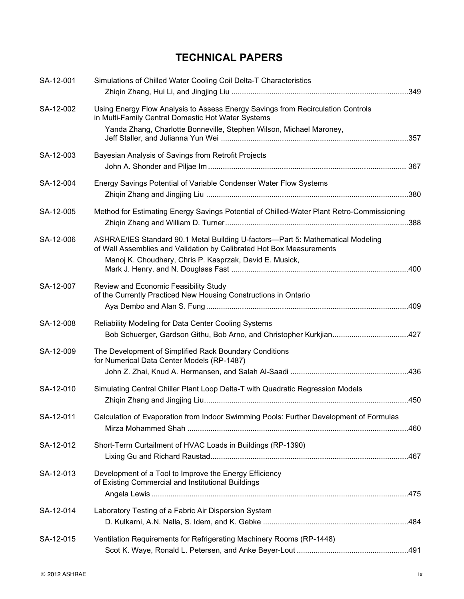## **TECHNICAL PAPERS**

| SA-12-001 | Simulations of Chilled Water Cooling Coil Delta-T Characteristics                                                                                                                                                  |  |
|-----------|--------------------------------------------------------------------------------------------------------------------------------------------------------------------------------------------------------------------|--|
| SA-12-002 | Using Energy Flow Analysis to Assess Energy Savings from Recirculation Controls<br>in Multi-Family Central Domestic Hot Water Systems<br>Yanda Zhang, Charlotte Bonneville, Stephen Wilson, Michael Maroney,       |  |
| SA-12-003 | Bayesian Analysis of Savings from Retrofit Projects                                                                                                                                                                |  |
| SA-12-004 | Energy Savings Potential of Variable Condenser Water Flow Systems                                                                                                                                                  |  |
| SA-12-005 | Method for Estimating Energy Savings Potential of Chilled-Water Plant Retro-Commissioning                                                                                                                          |  |
| SA-12-006 | ASHRAE/IES Standard 90.1 Metal Building U-factors-Part 5: Mathematical Modeling<br>of Wall Assemblies and Validation by Calibrated Hot Box Measurements<br>Manoj K. Choudhary, Chris P. Kasprzak, David E. Musick, |  |
| SA-12-007 | Review and Economic Feasibility Study<br>of the Currently Practiced New Housing Constructions in Ontario                                                                                                           |  |
| SA-12-008 | Reliability Modeling for Data Center Cooling Systems<br>Bob Schuerger, Gardson Githu, Bob Arno, and Christopher Kurkjian427                                                                                        |  |
| SA-12-009 | The Development of Simplified Rack Boundary Conditions<br>for Numerical Data Center Models (RP-1487)                                                                                                               |  |
| SA-12-010 | Simulating Central Chiller Plant Loop Delta-T with Quadratic Regression Models                                                                                                                                     |  |
| SA-12-011 | Calculation of Evaporation from Indoor Swimming Pools: Further Development of Formulas                                                                                                                             |  |
| SA-12-012 | Short-Term Curtailment of HVAC Loads in Buildings (RP-1390)                                                                                                                                                        |  |
| SA-12-013 | Development of a Tool to Improve the Energy Efficiency<br>of Existing Commercial and Institutional Buildings                                                                                                       |  |
| SA-12-014 | Laboratory Testing of a Fabric Air Dispersion System                                                                                                                                                               |  |
| SA-12-015 | Ventilation Requirements for Refrigerating Machinery Rooms (RP-1448)                                                                                                                                               |  |